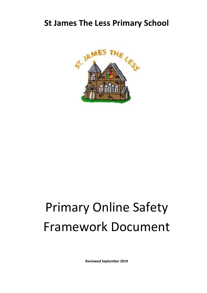## **St James The Less Primary School**



# Primary Online Safety Framework Document

**Reviewed September 2019**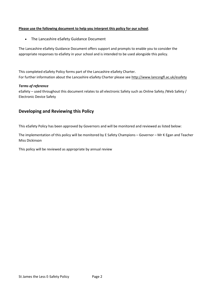#### **Please use the following document to help you interpret this policy for our school**.

The Lancashire eSafety Guidance Document

The Lancashire eSafety Guidance Document offers support and prompts to enable you to consider the appropriate responses to eSafety in your school and is intended to be used alongside this policy.

This completed eSafety Policy forms part of the Lancashire eSafety Charter. For further information about the Lancashire eSafety Charter please see<http://www.lancsngfl.ac.uk/esafety>

#### *Terms of reference*

eSafety – used throughout this document relates to all electronic Safety such as Online Safety /Web Safety / Electronic Device Safety

#### <span id="page-1-0"></span>**Developing and Reviewing this Policy**

This eSafety Policy has been approved by Governors and will be monitored and reviewed as listed below:

The implementation of this policy will be monitored by E Safety Champions – Governor – Mr K Egan and Teacher Miss Dickinson

This policy will be reviewed as appropriate by annual review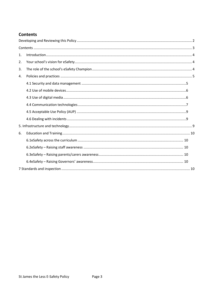## <span id="page-2-0"></span>**Contents**

| 1. |  |  |
|----|--|--|
| 2. |  |  |
| 3. |  |  |
| 4. |  |  |
|    |  |  |
|    |  |  |
|    |  |  |
|    |  |  |
|    |  |  |
|    |  |  |
|    |  |  |
| 6. |  |  |
|    |  |  |
|    |  |  |
|    |  |  |
|    |  |  |
|    |  |  |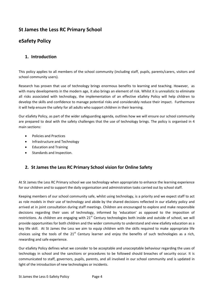## **St James the Less RC Primary School**

## **eSafety Policy**

## <span id="page-3-0"></span>**1. Introduction**

This policy applies to all members of the school community (including staff, pupils, parents/carers, visitors and school community users).

Research has proven that use of technology brings enormous benefits to learning and teaching. However, as with many developments in the modern age, it also brings an element of risk. Whilst it is unrealistic to eliminate all risks associated with technology, the implementation of an effective eSafety Policy will help children to develop the skills and confidence to manage potential risks and considerably reduce their impact. Furthermore it will help ensure the safety for all adults who support children in their learning.

Our eSafety Policy, as part of the wider safeguarding agenda, outlines how we will ensure our school community are prepared to deal with the safety challenges that the use of technology brings. The policy is organised in 4 main sections:

- [Policies and Practices](#page-3-1)
- Infrastructure and Technology
- Education and Training
- Standards and Inspection.

## <span id="page-3-1"></span>**2. St James the Less RC Primary School vision for Online Safety**

<span id="page-3-2"></span>At St James the Less RC Primary school we use technology when appropriate to enhance the learning experience for our children and to support the daily organisation and administration tasks carried out by school staff.

Keeping members of our school community safe, whilst using technology, is a priority and we expect staff to act as role models in their use of technology and abide by the shared decisions reflected in our eSafety policy and arrived at in joint consultation during staff meetings. Children are encouraged to explore and make responsible decisions regarding their uses of technology, informed by 'education' as opposed to the imposition of restrictions. As children are engaging with  $21<sup>st</sup>$  Century technologies both inside and outside of school, we will provide opportunities for both children and the wider community to understand and view eSafety education as a key life skill. At St James the Less we aim to equip children with the skills required to make appropriate life choices using the tools of the  $21<sup>st</sup>$  Century learner and enjoy the benefits of such technologies as a rich, rewarding and safe experience.

Our eSafety Policy defines what we consider to be acceptable and unacceptable behaviour regarding the uses of technology in school and the sanctions or procedures to be followed should breaches of security occur. It is communicated to staff, governors, pupils, parents, and all involved in our school community and is updated in light of the introduction of new technologies or incidents.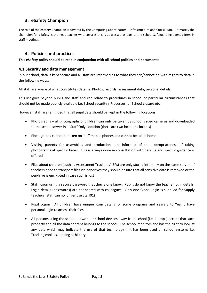## **3. eSafety Champion**

The role of the eSafety Champion is covered by the Computing Coordinators – Infrastructure and Curriculum. Ultimately the champion for eSafety is the headteacher who ensures this is addressed as part of the school Safeguarding agenda item in staff meetings.

#### <span id="page-4-0"></span>**4. Policies and practices**

#### **This eSafety policy should be read in conjunction with all school policies and documents:**

#### <span id="page-4-1"></span>**4.1 Security and data management**

In our school, data is kept secure and all staff are informed as to what they can/cannot do with regard to data in the following ways:

All staff are aware of what constitutes data i.e. Photos, records, assessment data, personal details

This list goes beyond pupils and staff and can relate to procedures in school or particular circumstances that should not be made publicly available i.e. School security / Processes for School closure etc

However, staff are reminded that all pupil data should be kept in the following locations

- Photographs all photographs of children can only be taken by school issued cameras and downloaded to the school server in a 'Staff Only' location (there are two locations for this)
- Photographs cannot be taken on staff mobile phones and cannot be taken home
- Visiting parents for assemblies and productions are informed of the appropriateness of taking photographs at specific times. This is always done in consultation with parents and specific guidance is offered
- Files about children (such as Assessment Trackers / IEPs) are only stored internally on the same server. If teachers need to transport files via pendrives they should ensure that all sensitive data is removed or the pendrive is encrypted in case such is lost
- Staff logon using a secure password that they alone know. Pupils do not know the teacher login details. Login details (passwords) are not shared with colleagues. Only one Global login is supplied for Supply teachers (staff can no longer use Staff01)
- Pupil Logon : All children have unique login details for some programs and Years 3 to Year 6 have personal login to access their files
- All persons using the school network or school devices away from school (i.e. laptops) accept that such property and all the data content belongs to the school. The school monitors and has the right to look at any data which may indicate the use of that technology if it has been used on school systems i.e. Tracking cookies, looking at history.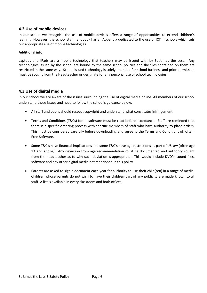#### <span id="page-5-0"></span>**4.2 Use of mobile devices**

In our school we recognise the use of mobile devices offers a range of opportunities to extend children's learning. However, the school staff handbook has an Appendix dedicated to the use of ICT in schools which sets out appropriate use of mobile technologies

#### **Additional info:**

Laptops and IPads are a mobile technology that teachers may be issued with by St James the Less. Any technologies issued by the school are bound by the same school policies and the files contained on them are restricted in the same way. School issued technology is solely intended for school business and prior permission must be sought from the Headteacher or designate for any personal use of school technologies

#### <span id="page-5-1"></span>**4.3 Use of digital media**

In our school we are aware of the issues surrounding the use of digital media online. All members of our school understand these issues and need to follow the school's guidance below.

- All staff and pupils should respect copyright and understand what constitutes infringement
- Terms and Conditions (T&Cs) for all software must be read before acceptance. Staff are reminded that there is a specific ordering process with specific members of staff who have authority to place orders. This must be considered carefully before downloading and agree to the Terms and Conditions of, often, Free Software.
- Some T&C's have financial implications and some T&C's have age restrictions as part of US law (often age 13 and above). Any deviation from age recommendation must be documented and authority sought from the headteacher as to why such deviation is appropriate. This would include DVD's, sound files, software and any other digital media not mentioned in this policy
- Parents are asked to sign a document each year for authority to use their child(ren) in a range of media. Children whose parents do not wish to have their children part of any publicity are made known to all staff. A list is available in every classroom and both offices.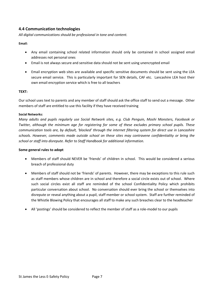#### <span id="page-6-0"></span>**4.4 Communication technologies**

*All digital communications should be professional in tone and content.* 

#### **Email:**

- Any email containing school related information should only be contained in school assigned email addresses not personal ones
- Email is not always secure and sensitive data should not be sent using unencrypted email
- Email encryption web sites are available and specific sensitive documents should be sent using the LEA secure email service. This is particularly important for SEN details, CAF etc. Lancashire LEA host their own email encryption service which is free to all teachers

#### **TEXT:**

Our school uses text to parents and any member of staff should ask the office staff to send out a message. Other members of staff are entitled to use this facility if they have received training

#### **Social Networks:**

*Many adults and pupils regularly use Social Network sites, e.g. Club Penguin, Moshi Monsters, Facebook or Twitter, although the minimum age for registering for some of these excludes primary school pupils. These communication tools are, by default, 'blocked' through the internet filtering system for direct use in Lancashire schools. However, comments made outside school on these sites may contravene confidentiality or bring the school or staff into disrepute. Refer to Staff Handbook for additional information.* 

#### **Some general rules to adopt**

- Members of staff should NEVER be 'friends' of children in school. This would be considered a serious breach of professional duty
- Members of staff should not be 'friends' of parents. However, there may be exceptions to this rule such as staff members whose children are in school and therefore a social circle exists out of school. Where such social circles exist all staff are reminded of the school Confidentiality Policy which prohibits particular conversation about school. No conversation should ever bring the school or themselves into disrepute or reveal anything about a pupil, staff member or school system. Staff are further reminded of the Whistle Blowing Policy that encourages all staff to make any such breaches clear to the headteacher
- All 'postings' should be considered to reflect the member of staff as a role-model to our pupils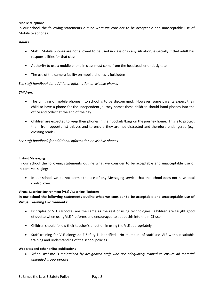#### **Mobile telephone:**

In our school the following statements outline what we consider to be acceptable and unacceptable use of Mobile telephones:

#### *Adults:*

- Staff : Mobile phones are not allowed to be used in class or in any situation, especially if that adult has responsibilities for that class
- Authority to use a mobile phone in class must come from the headteacher or designate
- The use of the camera facility on mobile phones is forbidden

#### *See staff handbook for additional information on Mobile phones*

#### *Children:*

- The bringing of mobile phones into school is to be discouraged. However, some parents expect their child to have a phone for the independent journey home; these children should hand phones into the office and collect at the end of the day
- Children are expected to keep their phones in their pockets/bags on the journey home. This is to protect them from opportunist thieves and to ensure they are not distracted and therefore endangered (e.g. crossing roads)

#### *See staff handbook for additional information on Mobile phones*

#### **Instant Messaging:**

In our school the following statements outline what we consider to be acceptable and unacceptable use of Instant Messaging:

• In our school we do not permit the use of any Messaging service that the school does not have total control over.

#### **Virtual Learning Environment (VLE) / Learning Platform:**

#### **In our school the following statements outline what we consider to be acceptable and unacceptable use of Virtual Learning Environments:**

- Principles of VLE (Moodle) are the same as the rest of using technologies. Children are taught good etiquette when using VLE Platforms and encouraged to adopt this into their ICT use.
- Children should follow their teacher's direction in using the VLE appropriately
- Staff training for VLE alongside E-Safety is identified. No members of staff use VLE without suitable training and understanding of the school policies

#### **Web sites and other online publications**

 *School website is maintained by designated staff who are adequately trained to ensure all material uploaded is appropriate*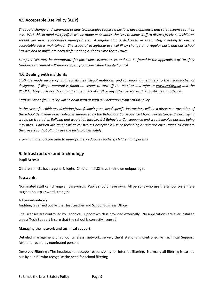#### <span id="page-8-0"></span>**4.5 Acceptable Use Policy (AUP)**

*The rapid change and expansion of new technologies require a flexible, developmental and safe response to their use. With this in mind every effort will be made at St James the Less to allow staff to discuss freely how children should use new technologies appropriately. A regular slot is dedicated in every staff meeting to ensure acceptable use is maintained. The scope of acceptable use will likely change on a regular basis and our school has decided to build into each staff meeting a slot to raise these issues.*

*Sample AUPs may be appropriate for particular circumstances and can be found in the appendices of "eSafety Guidance Document – Primary eSafety from Lancashire County Council*

#### <span id="page-8-1"></span>**4.6 Dealing with incidents**

*Staff are made aware of what constitutes 'illegal materials' and to report immediately to the headteacher or designate. If illegal material is found on screen to turn off the monitor and refer to [www.iwf.org.uk](http://www.iwf.org.uk/) and the POLICE. They must not show to other members of staff or any other person as this constitutes an offence.*

*Staff deviation from Policy will be dealt with as with any deviation from school policy*

*In the case of a child: any deviation from following teachers' specific instructions will be a direct contravention of the school Behaviour Policy which is supported by the Behaviour Consequence Chart. For instance- CyberBullying would be treated as Bullying and would fall into Level 3 Behaviour Consequence and would involve parents being informed. Children are taught what constitutes acceptable use of technologies and are encouraged to educate their peers so that all may use the technologies safely.*

*Training materials are used to appropriately educate teachers, children and parents*

#### <span id="page-8-2"></span>**5. Infrastructure and technology**

#### **Pupil Access:**

Children in KS1 have a generic login. Children in KS2 have their own unique login.

#### **Passwords:**

Nominated staff can change all passwords. Pupils should have own. All persons who use the school system are taught about password strengths

#### **Software/hardware:**

Auditing is carried out by the Headteacher and School Business Officer

Site Licenses are controlled by Technical Support which is provided externally. No applications are ever installed unless Tech Support is sure that the school is correctly licensed

#### **Managing the network and technical support:**

Detailed management of school wireless, network, server, client stations is controlled by Technical Support, further directed by nominated persons

Devolved Filtering : The headteacher accepts responsibility for Internet filtering. Normally all filtering is carried out by our ISP who recognise the need for school filtering